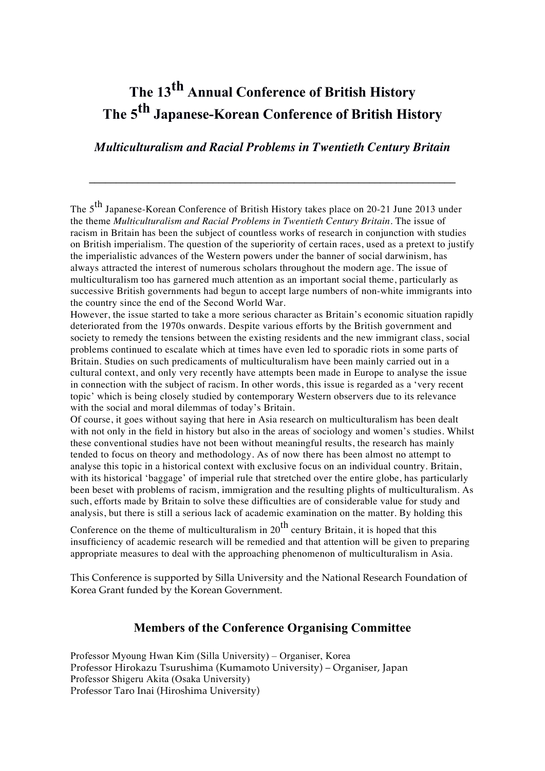# **The 13th Annual Conference of British History The 5th Japanese-Korean Conference of British History**

### *Multiculturalism and Racial Problems in Twentieth Century Britain*

**\_\_\_\_\_\_\_\_\_\_\_\_\_\_\_\_\_\_\_\_\_\_\_\_\_\_\_\_\_\_\_\_\_\_\_\_\_\_\_\_\_\_\_\_\_\_\_\_\_\_\_\_\_\_\_\_\_\_\_\_\_\_\_\_\_\_\_\_**

The 5<sup>th</sup> Japanese-Korean Conference of British History takes place on 20-21 June 2013 under the theme *Multiculturalism and Racial Problems in Twentieth Century Britain*. The issue of racism in Britain has been the subject of countless works of research in conjunction with studies on British imperialism. The question of the superiority of certain races, used as a pretext to justify the imperialistic advances of the Western powers under the banner of social darwinism, has always attracted the interest of numerous scholars throughout the modern age. The issue of multiculturalism too has garnered much attention as an important social theme, particularly as successive British governments had begun to accept large numbers of non-white immigrants into the country since the end of the Second World War.

However, the issue started to take a more serious character as Britain's economic situation rapidly deteriorated from the 1970s onwards. Despite various efforts by the British government and society to remedy the tensions between the existing residents and the new immigrant class, social problems continued to escalate which at times have even led to sporadic riots in some parts of Britain. Studies on such predicaments of multiculturalism have been mainly carried out in a cultural context, and only very recently have attempts been made in Europe to analyse the issue in connection with the subject of racism. In other words, this issue is regarded as a 'very recent topic' which is being closely studied by contemporary Western observers due to its relevance with the social and moral dilemmas of today's Britain.

Of course, it goes without saying that here in Asia research on multiculturalism has been dealt with not only in the field in history but also in the areas of sociology and women's studies. Whilst these conventional studies have not been without meaningful results, the research has mainly tended to focus on theory and methodology. As of now there has been almost no attempt to analyse this topic in a historical context with exclusive focus on an individual country. Britain, with its historical 'baggage' of imperial rule that stretched over the entire globe, has particularly been beset with problems of racism, immigration and the resulting plights of multiculturalism. As such, efforts made by Britain to solve these difficulties are of considerable value for study and analysis, but there is still a serious lack of academic examination on the matter. By holding this

Conference on the theme of multiculturalism in  $20^{th}$  century Britain, it is hoped that this insufficiency of academic research will be remedied and that attention will be given to preparing appropriate measures to deal with the approaching phenomenon of multiculturalism in Asia.

This Conference is supported by Silla University and the National Research Foundation of Korea Grant funded by the Korean Government.

### **Members of the Conference Organising Committee**

Professor Myoung Hwan Kim (Silla University) – Organiser, Korea Professor Hirokazu Tsurushima (Kumamoto University) – Organiser, Japan Professor Shigeru Akita (Osaka University) Professor Taro Inai (Hiroshima University)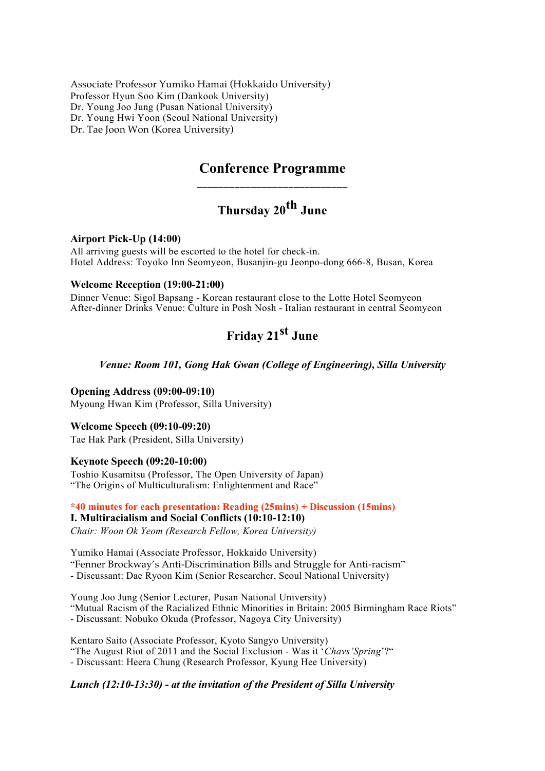Associate Professor Yumiko Hamai (Hokkaido University) Professor Hyun Soo Kim (Dankook University) Dr. Young Joo Jung (Pusan National University) Dr. Young Hwi Yoon (Seoul National University) Dr. Tae Joon Won (Korea University)

## **Conference Programme \_\_\_\_\_\_\_\_\_\_\_\_\_\_\_\_\_\_\_\_\_\_\_\_\_\_\_\_**

## **Thursday 20th June**

#### **Airport Pick-Up (14:00)**

All arriving guests will be escorted to the hotel for check-in. Hotel Address: Toyoko Inn Seomyeon, Busanjin-gu Jeonpo-dong 666-8, Busan, Korea

#### **Welcome Reception (19:00-21:00)**

Dinner Venue: Sigol Bapsang - Korean restaurant close to the Lotte Hotel Seomyeon After-dinner Drinks Venue: Culture in Posh Nosh - Italian restaurant in central Seomyeon

## **Friday 21st June**

#### *Venue: Room 101, Gong Hak Gwan (College of Engineering), Silla University*

**Opening Address (09:00-09:10)**  Myoung Hwan Kim (Professor, Silla University)

#### **Welcome Speech (09:10-09:20)**

Tae Hak Park (President, Silla University)

#### **Keynote Speech (09:20-10:00)**

Toshio Kusamitsu (Professor, The Open University of Japan) "The Origins of Multiculturalism: Enlightenment and Race"

**\*40 minutes for each presentation: Reading (25mins) + Discussion (15mins) I. Multiracialism and Social Conflicts (10:10-12:10)**

*Chair: Woon Ok Yeom (Research Fellow, Korea University)*

Yumiko Hamai (Associate Professor, Hokkaido University) "Fenner Brockway's Anti-Discrimination Bills and Struggle for Anti-racism" - Discussant: Dae Ryoon Kim (Senior Researcher, Seoul National University)

Young Joo Jung (Senior Lecturer, Pusan National University) "Mutual Racism of the Racialized Ethnic Minorities in Britain: 2005 Birmingham Race Riots" - Discussant: Nobuko Okuda (Professor, Nagoya City University)

Kentaro Saito (Associate Professor, Kyoto Sangyo University) "The August Riot of 2011 and the Social Exclusion - Was it '*Chavs'Spring*'?" - Discussant: Heera Chung (Research Professor, Kyung Hee University)

#### *Lunch (12:10-13:30) - at the invitation of the President of Silla University*